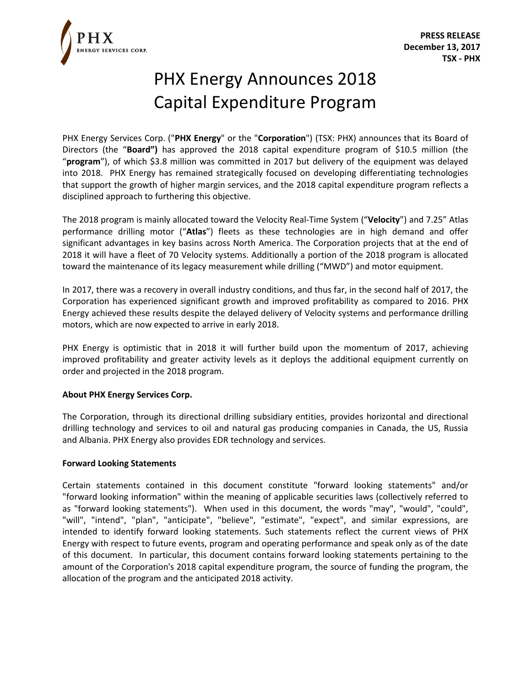

## PHX Energy Announces 2018 Capital Expenditure Program

PHX Energy Services Corp. ("**PHX Energy**" or the "**Corporation**") (TSX: PHX) announces that its Board of Directors (the "**Board")** has approved the 2018 capital expenditure program of \$10.5 million (the "**program**"), of which \$3.8 million was committed in 2017 but delivery of the equipment was delayed into 2018. PHX Energy has remained strategically focused on developing differentiating technologies that support the growth of higher margin services, and the 2018 capital expenditure program reflects a disciplined approach to furthering this objective.

The 2018 program is mainly allocated toward the Velocity Real-Time System ("**Velocity**") and 7.25" Atlas performance drilling motor ("**Atlas**") fleets as these technologies are in high demand and offer significant advantages in key basins across North America. The Corporation projects that at the end of 2018 it will have a fleet of 70 Velocity systems. Additionally a portion of the 2018 program is allocated toward the maintenance of its legacy measurement while drilling ("MWD") and motor equipment.

In 2017, there was a recovery in overall industry conditions, and thus far, in the second half of 2017, the Corporation has experienced significant growth and improved profitability as compared to 2016. PHX Energy achieved these results despite the delayed delivery of Velocity systems and performance drilling motors, which are now expected to arrive in early 2018.

PHX Energy is optimistic that in 2018 it will further build upon the momentum of 2017, achieving improved profitability and greater activity levels as it deploys the additional equipment currently on order and projected in the 2018 program.

## **About PHX Energy Services Corp.**

The Corporation, through its directional drilling subsidiary entities, provides horizontal and directional drilling technology and services to oil and natural gas producing companies in Canada, the US, Russia and Albania. PHX Energy also provides EDR technology and services.

## **Forward Looking Statements**

Certain statements contained in this document constitute "forward looking statements" and/or "forward looking information" within the meaning of applicable securities laws (collectively referred to as "forward looking statements"). When used in this document, the words "may", "would", "could", "will", "intend", "plan", "anticipate", "believe", "estimate", "expect", and similar expressions, are intended to identify forward looking statements. Such statements reflect the current views of PHX Energy with respect to future events, program and operating performance and speak only as of the date of this document. In particular, this document contains forward looking statements pertaining to the amount of the Corporation's 2018 capital expenditure program, the source of funding the program, the allocation of the program and the anticipated 2018 activity.